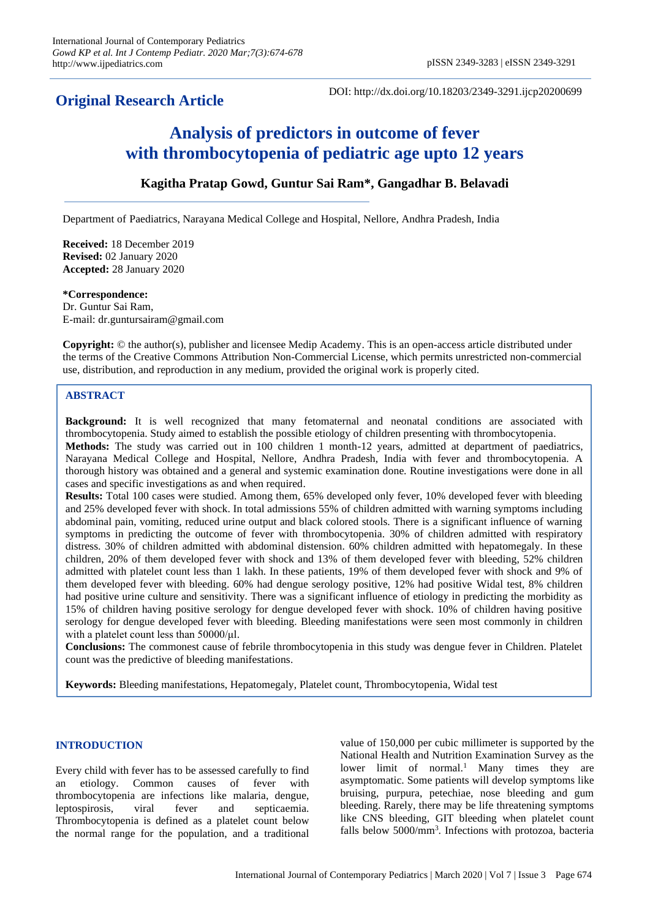# **Original Research Article**

DOI: http://dx.doi.org/10.18203/2349-3291.ijcp20200699

# **Analysis of predictors in outcome of fever with thrombocytopenia of pediatric age upto 12 years**

# **Kagitha Pratap Gowd, Guntur Sai Ram\*, Gangadhar B. Belavadi**

Department of Paediatrics, Narayana Medical College and Hospital, Nellore, Andhra Pradesh, India

**Received:** 18 December 2019 **Revised:** 02 January 2020 **Accepted:** 28 January 2020

**\*Correspondence:** Dr. Guntur Sai Ram, E-mail: dr.guntursairam@gmail.com

**Copyright:** © the author(s), publisher and licensee Medip Academy. This is an open-access article distributed under the terms of the Creative Commons Attribution Non-Commercial License, which permits unrestricted non-commercial use, distribution, and reproduction in any medium, provided the original work is properly cited.

# **ABSTRACT**

**Background:** It is well recognized that many fetomaternal and neonatal conditions are associated with thrombocytopenia. Study aimed to establish the possible etiology of children presenting with thrombocytopenia. **Methods:** The study was carried out in 100 children 1 month-12 years, admitted at department of paediatrics, Narayana Medical College and Hospital, Nellore, Andhra Pradesh, India with fever and thrombocytopenia. A thorough history was obtained and a general and systemic examination done. Routine investigations were done in all cases and specific investigations as and when required.

**Results:** Total 100 cases were studied. Among them, 65% developed only fever, 10% developed fever with bleeding and 25% developed fever with shock. In total admissions 55% of children admitted with warning symptoms including abdominal pain, vomiting, reduced urine output and black colored stools. There is a significant influence of warning symptoms in predicting the outcome of fever with thrombocytopenia. 30% of children admitted with respiratory distress. 30% of children admitted with abdominal distension. 60% children admitted with hepatomegaly. In these children, 20% of them developed fever with shock and 13% of them developed fever with bleeding, 52% children admitted with platelet count less than 1 lakh. In these patients, 19% of them developed fever with shock and 9% of them developed fever with bleeding. 60% had dengue serology positive, 12% had positive Widal test, 8% children had positive urine culture and sensitivity. There was a significant influence of etiology in predicting the morbidity as 15% of children having positive serology for dengue developed fever with shock. 10% of children having positive serology for dengue developed fever with bleeding. Bleeding manifestations were seen most commonly in children with a platelet count less than 50000/μl.

**Conclusions:** The commonest cause of febrile thrombocytopenia in this study was dengue fever in Children. Platelet count was the predictive of bleeding manifestations.

**Keywords:** Bleeding manifestations, Hepatomegaly, Platelet count, Thrombocytopenia, Widal test

# **INTRODUCTION**

Every child with fever has to be assessed carefully to find an etiology. Common causes of fever with thrombocytopenia are infections like malaria, dengue, leptospirosis, viral fever and septicaemia. Thrombocytopenia is defined as a platelet count below the normal range for the population, and a traditional value of 150,000 per cubic millimeter is supported by the National Health and Nutrition Examination Survey as the lower limit of normal.<sup>1</sup> Many times they are asymptomatic. Some patients will develop symptoms like bruising, purpura, petechiae, nose bleeding and gum bleeding. Rarely, there may be life threatening symptoms like CNS bleeding, GIT bleeding when platelet count falls below 5000/mm<sup>3</sup>. Infections with protozoa, bacteria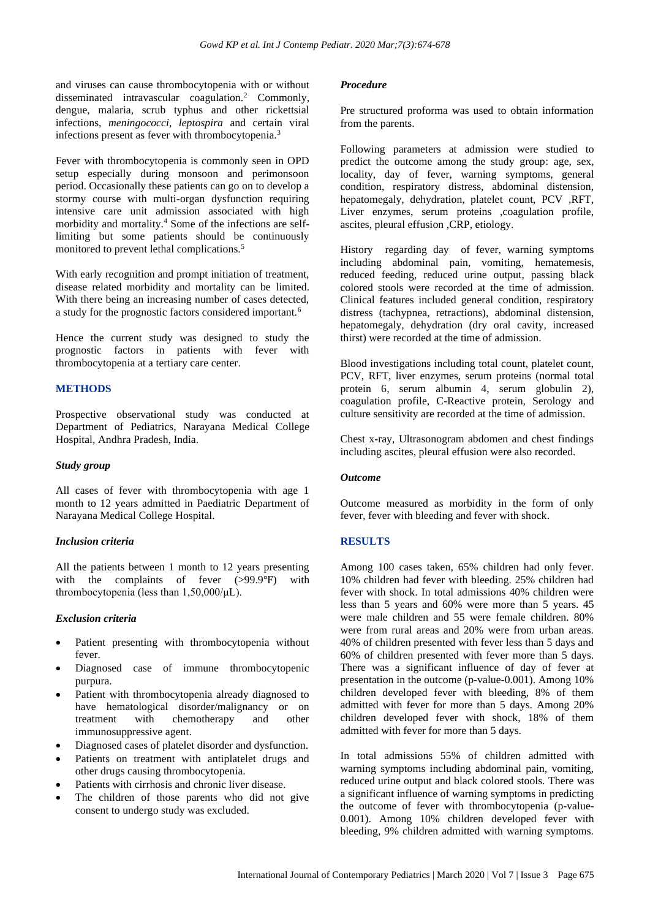and viruses can cause thrombocytopenia with or without disseminated intravascular coagulation.<sup>2</sup> Commonly, dengue, malaria, scrub typhus and other rickettsial infections, *meningococci*, *leptospira* and certain viral infections present as fever with thrombocytopenia.<sup>3</sup>

Fever with thrombocytopenia is commonly seen in OPD setup especially during monsoon and perimonsoon period. Occasionally these patients can go on to develop a stormy course with multi-organ dysfunction requiring intensive care unit admission associated with high morbidity and mortality.<sup>4</sup> Some of the infections are selflimiting but some patients should be continuously monitored to prevent lethal complications.<sup>5</sup>

With early recognition and prompt initiation of treatment, disease related morbidity and mortality can be limited. With there being an increasing number of cases detected, a study for the prognostic factors considered important.<sup>6</sup>

Hence the current study was designed to study the prognostic factors in patients with fever with thrombocytopenia at a tertiary care center.

# **METHODS**

Prospective observational study was conducted at Department of Pediatrics, Narayana Medical College Hospital, Andhra Pradesh, India.

#### *Study group*

All cases of fever with thrombocytopenia with age 1 month to 12 years admitted in Paediatric Department of Narayana Medical College Hospital.

# *Inclusion criteria*

All the patients between 1 month to 12 years presenting with the complaints of fever (>99.9°F) with thrombocytopenia (less than 1,50,000/μL).

# *Exclusion criteria*

- Patient presenting with thrombocytopenia without fever.
- Diagnosed case of immune thrombocytopenic purpura.
- Patient with thrombocytopenia already diagnosed to have hematological disorder/malignancy or on treatment with chemotherapy and other immunosuppressive agent.
- Diagnosed cases of platelet disorder and dysfunction.
- Patients on treatment with antiplatelet drugs and other drugs causing thrombocytopenia.
- Patients with cirrhosis and chronic liver disease.
- The children of those parents who did not give consent to undergo study was excluded.

#### *Procedure*

Pre structured proforma was used to obtain information from the parents.

Following parameters at admission were studied to predict the outcome among the study group: age, sex, locality, day of fever, warning symptoms, general condition, respiratory distress, abdominal distension, hepatomegaly, dehydration, platelet count, PCV ,RFT, Liver enzymes, serum proteins ,coagulation profile, ascites, pleural effusion ,CRP, etiology.

History regarding day of fever, warning symptoms including abdominal pain, vomiting, hematemesis, reduced feeding, reduced urine output, passing black colored stools were recorded at the time of admission. Clinical features included general condition, respiratory distress (tachypnea, retractions), abdominal distension, hepatomegaly, dehydration (dry oral cavity, increased thirst) were recorded at the time of admission.

Blood investigations including total count, platelet count, PCV, RFT, liver enzymes, serum proteins (normal total protein 6, serum albumin 4, serum globulin 2), coagulation profile, C-Reactive protein, Serology and culture sensitivity are recorded at the time of admission.

Chest x-ray, Ultrasonogram abdomen and chest findings including ascites, pleural effusion were also recorded.

#### *Outcome*

Outcome measured as morbidity in the form of only fever, fever with bleeding and fever with shock.

# **RESULTS**

Among 100 cases taken, 65% children had only fever. 10% children had fever with bleeding. 25% children had fever with shock. In total admissions 40% children were less than 5 years and 60% were more than 5 years. 45 were male children and 55 were female children. 80% were from rural areas and 20% were from urban areas. 40% of children presented with fever less than 5 days and 60% of children presented with fever more than 5 days. There was a significant influence of day of fever at presentation in the outcome (p-value-0.001). Among 10% children developed fever with bleeding, 8% of them admitted with fever for more than 5 days. Among 20% children developed fever with shock, 18% of them admitted with fever for more than 5 days.

In total admissions 55% of children admitted with warning symptoms including abdominal pain, vomiting, reduced urine output and black colored stools. There was a significant influence of warning symptoms in predicting the outcome of fever with thrombocytopenia (p-value-0.001). Among 10% children developed fever with bleeding, 9% children admitted with warning symptoms.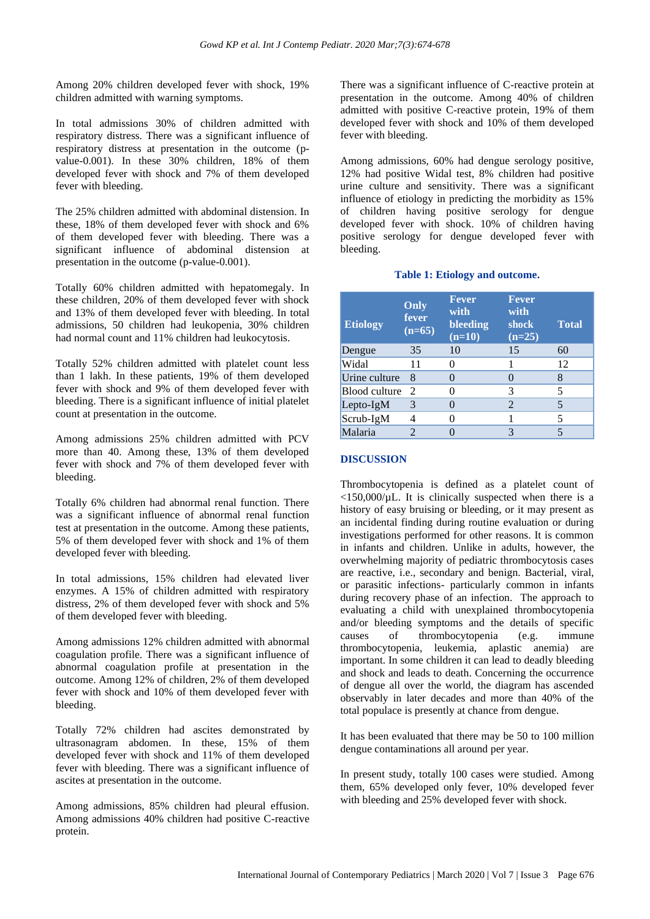Among 20% children developed fever with shock, 19% children admitted with warning symptoms.

In total admissions 30% of children admitted with respiratory distress. There was a significant influence of respiratory distress at presentation in the outcome (pvalue-0.001). In these 30% children, 18% of them developed fever with shock and 7% of them developed fever with bleeding.

The 25% children admitted with abdominal distension. In these, 18% of them developed fever with shock and 6% of them developed fever with bleeding. There was a significant influence of abdominal distension at presentation in the outcome (p-value-0.001).

Totally 60% children admitted with hepatomegaly. In these children, 20% of them developed fever with shock and 13% of them developed fever with bleeding. In total admissions, 50 children had leukopenia, 30% children had normal count and 11% children had leukocytosis.

Totally 52% children admitted with platelet count less than 1 lakh. In these patients, 19% of them developed fever with shock and 9% of them developed fever with bleeding. There is a significant influence of initial platelet count at presentation in the outcome.

Among admissions 25% children admitted with PCV more than 40. Among these, 13% of them developed fever with shock and 7% of them developed fever with bleeding.

Totally 6% children had abnormal renal function. There was a significant influence of abnormal renal function test at presentation in the outcome. Among these patients, 5% of them developed fever with shock and 1% of them developed fever with bleeding.

In total admissions, 15% children had elevated liver enzymes. A 15% of children admitted with respiratory distress, 2% of them developed fever with shock and 5% of them developed fever with bleeding.

Among admissions 12% children admitted with abnormal coagulation profile. There was a significant influence of abnormal coagulation profile at presentation in the outcome. Among 12% of children, 2% of them developed fever with shock and 10% of them developed fever with bleeding.

Totally 72% children had ascites demonstrated by ultrasonagram abdomen. In these, 15% of them developed fever with shock and 11% of them developed fever with bleeding. There was a significant influence of ascites at presentation in the outcome.

Among admissions, 85% children had pleural effusion. Among admissions 40% children had positive C-reactive protein.

There was a significant influence of C-reactive protein at presentation in the outcome. Among 40% of children admitted with positive C-reactive protein, 19% of them developed fever with shock and 10% of them developed fever with bleeding.

Among admissions, 60% had dengue serology positive, 12% had positive Widal test, 8% children had positive urine culture and sensitivity. There was a significant influence of etiology in predicting the morbidity as 15% of children having positive serology for dengue developed fever with shock. 10% of children having positive serology for dengue developed fever with bleeding.

#### **Table 1: Etiology and outcome.**

| <b>Etiology</b> | Only<br>fever<br>$(n=65)$   | <b>Fever</b><br>with<br>bleeding<br>$(n=10)$ | Fever<br>with<br>shock<br>$(n=25)$ | <b>Total</b> |
|-----------------|-----------------------------|----------------------------------------------|------------------------------------|--------------|
| Dengue          | 35                          | 10                                           | 15                                 | 60           |
| Widal           | 11                          |                                              |                                    | 12           |
| Urine culture   | 8                           |                                              |                                    | 8            |
| Blood culture   | $\mathcal{D}_{\mathcal{L}}$ |                                              | 3                                  | 5            |
| Lepto- $IgM$    | 3                           |                                              | 2                                  | 5            |
| Scrub-IgM       |                             |                                              |                                    | 5            |
| Malaria         |                             |                                              | 3                                  |              |

#### **DISCUSSION**

Thrombocytopenia is defined as a platelet count of  $\langle 150,000/\mu L$ . It is clinically suspected when there is a history of easy bruising or bleeding, or it may present as an incidental finding during routine evaluation or during investigations performed for other reasons. It is common in infants and children. Unlike in adults, however, the overwhelming majority of pediatric thrombocytosis cases are reactive, i.e., secondary and benign. Bacterial, viral, or parasitic infections- particularly common in infants during recovery phase of an infection. The approach to evaluating a child with unexplained thrombocytopenia and/or bleeding symptoms and the details of specific causes of thrombocytopenia (e.g. immune thrombocytopenia, leukemia, aplastic anemia) are important. In some children it can lead to deadly bleeding and shock and leads to death. Concerning the occurrence of dengue all over the world, the diagram has ascended observably in later decades and more than 40% of the total populace is presently at chance from dengue.

It has been evaluated that there may be 50 to 100 million dengue contaminations all around per year.

In present study, totally 100 cases were studied. Among them, 65% developed only fever, 10% developed fever with bleeding and 25% developed fever with shock.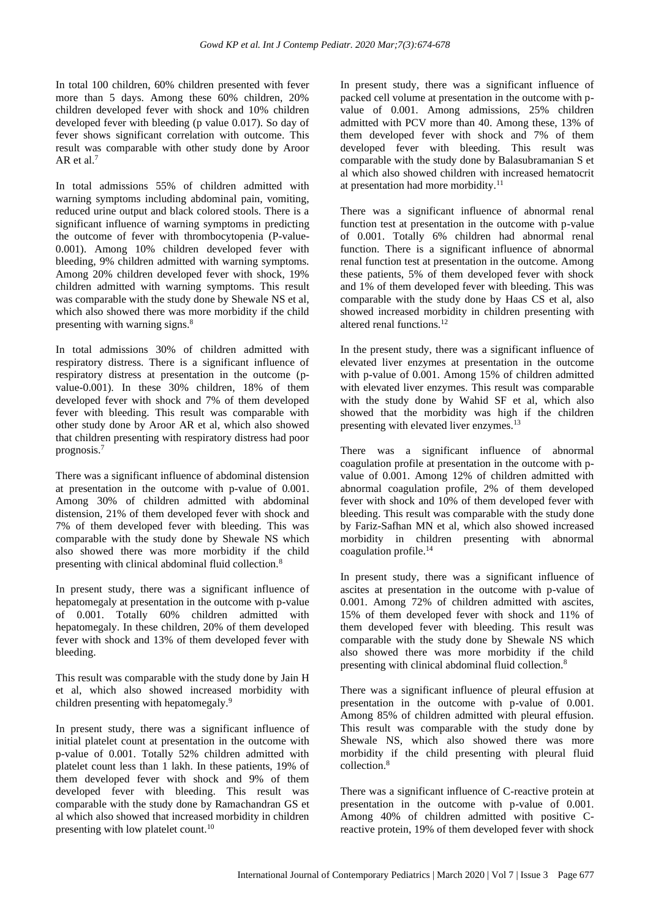In total 100 children, 60% children presented with fever more than 5 days. Among these 60% children, 20% children developed fever with shock and 10% children developed fever with bleeding (p value 0.017). So day of fever shows significant correlation with outcome. This result was comparable with other study done by Aroor AR et al.<sup>7</sup>

In total admissions 55% of children admitted with warning symptoms including abdominal pain, vomiting, reduced urine output and black colored stools. There is a significant influence of warning symptoms in predicting the outcome of fever with thrombocytopenia (P-value-0.001). Among 10% children developed fever with bleeding, 9% children admitted with warning symptoms. Among 20% children developed fever with shock, 19% children admitted with warning symptoms. This result was comparable with the study done by Shewale NS et al, which also showed there was more morbidity if the child presenting with warning signs.<sup>8</sup>

In total admissions 30% of children admitted with respiratory distress. There is a significant influence of respiratory distress at presentation in the outcome (pvalue-0.001). In these 30% children, 18% of them developed fever with shock and 7% of them developed fever with bleeding. This result was comparable with other study done by Aroor AR et al, which also showed that children presenting with respiratory distress had poor prognosis.<sup>7</sup>

There was a significant influence of abdominal distension at presentation in the outcome with p-value of 0.001. Among 30% of children admitted with abdominal distension, 21% of them developed fever with shock and 7% of them developed fever with bleeding. This was comparable with the study done by Shewale NS which also showed there was more morbidity if the child presenting with clinical abdominal fluid collection.<sup>8</sup>

In present study, there was a significant influence of hepatomegaly at presentation in the outcome with p-value of 0.001. Totally 60% children admitted with hepatomegaly. In these children, 20% of them developed fever with shock and 13% of them developed fever with bleeding.

This result was comparable with the study done by Jain H et al, which also showed increased morbidity with children presenting with hepatomegaly.<sup>9</sup>

In present study, there was a significant influence of initial platelet count at presentation in the outcome with p-value of 0.001. Totally 52% children admitted with platelet count less than 1 lakh. In these patients, 19% of them developed fever with shock and 9% of them developed fever with bleeding. This result was comparable with the study done by Ramachandran GS et al which also showed that increased morbidity in children presenting with low platelet count.<sup>10</sup>

In present study, there was a significant influence of packed cell volume at presentation in the outcome with pvalue of 0.001. Among admissions, 25% children admitted with PCV more than 40. Among these, 13% of them developed fever with shock and 7% of them developed fever with bleeding. This result was comparable with the study done by Balasubramanian S et al which also showed children with increased hematocrit at presentation had more morbidity.<sup>11</sup>

There was a significant influence of abnormal renal function test at presentation in the outcome with p-value of 0.001. Totally 6% children had abnormal renal function. There is a significant influence of abnormal renal function test at presentation in the outcome. Among these patients, 5% of them developed fever with shock and 1% of them developed fever with bleeding. This was comparable with the study done by Haas CS et al, also showed increased morbidity in children presenting with altered renal functions.<sup>12</sup>

In the present study, there was a significant influence of elevated liver enzymes at presentation in the outcome with p-value of 0.001. Among 15% of children admitted with elevated liver enzymes. This result was comparable with the study done by Wahid SF et al, which also showed that the morbidity was high if the children presenting with elevated liver enzymes.<sup>13</sup>

There was a significant influence of abnormal coagulation profile at presentation in the outcome with pvalue of 0.001. Among 12% of children admitted with abnormal coagulation profile, 2% of them developed fever with shock and 10% of them developed fever with bleeding. This result was comparable with the study done by Fariz-Safhan MN et al, which also showed increased morbidity in children presenting with abnormal coagulation profile.<sup>14</sup>

In present study, there was a significant influence of ascites at presentation in the outcome with p-value of 0.001. Among 72% of children admitted with ascites, 15% of them developed fever with shock and 11% of them developed fever with bleeding. This result was comparable with the study done by Shewale NS which also showed there was more morbidity if the child presenting with clinical abdominal fluid collection.<sup>8</sup>

There was a significant influence of pleural effusion at presentation in the outcome with p-value of 0.001. Among 85% of children admitted with pleural effusion. This result was comparable with the study done by Shewale NS, which also showed there was more morbidity if the child presenting with pleural fluid collection.<sup>8</sup>

There was a significant influence of C-reactive protein at presentation in the outcome with p-value of 0.001. Among 40% of children admitted with positive Creactive protein, 19% of them developed fever with shock